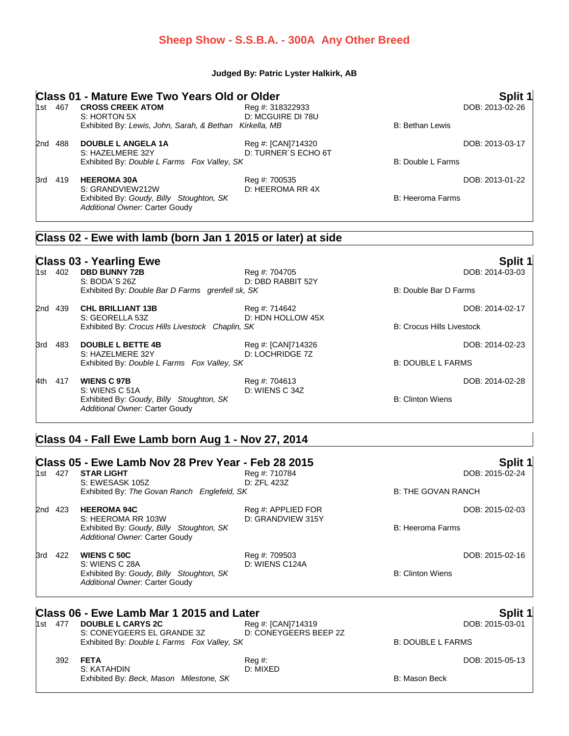#### **Sheep Show - S.S.B.A. - 300A Any Other Breed**

#### **Judged By: Patric Lyster Halkirk, AB**

|         | <b>Class 01 - Mature Ewe Two Years Old or Older</b>                                              |                                       |                                  | Split 1         |
|---------|--------------------------------------------------------------------------------------------------|---------------------------------------|----------------------------------|-----------------|
| 1st 467 | <b>CROSS CREEK ATOM</b><br>S: HORTON 5X                                                          | Reg #: 318322933<br>D: MCGUIRE DI 78U |                                  | DOB: 2013-02-26 |
|         | Exhibited By: Lewis, John, Sarah, & Bethan Kirkella, MB                                          |                                       | <b>B: Bethan Lewis</b>           |                 |
| 2nd 488 | <b>DOUBLE L ANGELA 1A</b>                                                                        | Reg #: [CAN]714320                    |                                  | DOB: 2013-03-17 |
|         | S: HAZELMERE 32Y<br>Exhibited By: Double L Farms Fox Valley, SK                                  | D: TURNER'S ECHO 6T                   | B: Double L Farms                |                 |
| 3rd 419 | <b>HEEROMA 30A</b>                                                                               | Reg #: 700535                         |                                  | DOB: 2013-01-22 |
|         | S: GRANDVIEW212W<br>Exhibited By: Goudy, Billy Stoughton, SK<br>Additional Owner: Carter Goudy   | D: HEEROMA RR 4X                      | <b>B: Heeroma Farms</b>          |                 |
|         | Class 02 - Ewe with lamb (born Jan 1 2015 or later) at side                                      |                                       |                                  |                 |
|         | <b>Class 03 - Yearling Ewe</b>                                                                   |                                       |                                  | Split 1         |
| 1st 402 | <b>DBD BUNNY 72B</b><br>S: BODA'S 26Z                                                            | Reg #: 704705<br>D: DBD RABBIT 52Y    |                                  | DOB: 2014-03-03 |
|         | Exhibited By: Double Bar D Farms grenfell sk, SK                                                 |                                       | B: Double Bar D Farms            |                 |
| 2nd 439 | <b>CHL BRILLIANT 13B</b>                                                                         | Reg #: 714642                         |                                  | DOB: 2014-02-17 |
|         | S: GEORELLA 53Z<br>Exhibited By: Crocus Hills Livestock Chaplin, SK                              | D: HDN HOLLOW 45X                     | <b>B: Crocus Hills Livestock</b> |                 |
| 3rd 483 | <b>DOUBLE L BETTE 4B</b>                                                                         | Reg #: [CAN]714326                    |                                  | DOB: 2014-02-23 |
|         | S: HAZELMERE 32Y<br>Exhibited By: Double L Farms Fox Valley, SK                                  | D: LOCHRIDGE 7Z                       | <b>B: DOUBLE L FARMS</b>         |                 |
| 4th 417 | <b>WIENS C 97B</b>                                                                               | Reg #: 704613                         |                                  | DOB: 2014-02-28 |
|         | S: WIENS C 51A<br>Exhibited By: Goudy, Billy Stoughton, SK<br>Additional Owner: Carter Goudy     | D: WIENS C 34Z                        | <b>B: Clinton Wiens</b>          |                 |
|         | Class 04 - Fall Ewe Lamb born Aug 1 - Nov 27, 2014                                               |                                       |                                  |                 |
|         | Class 05 - Ewe Lamb Nov 28 Prev Year - Feb 28 2015                                               |                                       |                                  | Split 1         |
| 1st 427 | <b>STAR LIGHT</b><br>S: EWESASK 105Z                                                             | Reg #: 710784<br>D: ZFL 423Z          |                                  | DOB: 2015-02-24 |
|         | Exhibited By: The Govan Ranch Englefeld, SK                                                      |                                       | <b>B: THE GOVAN RANCH</b>        |                 |
| 2nd 423 | <b>HEEROMA 94C</b>                                                                               | Reg #: APPLIED FOR                    |                                  | DOB: 2015-02-03 |
|         | S: HEEROMA RR 103W<br>Exhibited By: Goudy, Billy Stoughton, SK<br>Additional Owner: Carter Goudy | D: GRANDVIEW 315Y                     | <b>B: Heeroma Farms</b>          |                 |
| 3rd 422 | <b>WIENS C 50C</b>                                                                               | Reg #: 709503                         |                                  | DOB: 2015-02-16 |
|         | S: WIENS C 28A<br>Exhibited By: Goudy, Billy Stoughton, SK<br>Additional Owner: Carter Goudy     | D: WIENS C124A                        | <b>B: Clinton Wiens</b>          |                 |

## **Class 06 - Ewe Lamb Mar 1 2015 and Later Split 1 Split 1 Split 1 Split 1**

| 1st 477 | <b>DOUBLE L CARYS 2C</b>                    | Reg #: [CAN]714319    |
|---------|---------------------------------------------|-----------------------|
|         | S: CONEYGEERS EL GRANDE 3Z                  | D: CONEYGEERS BEEP 2Z |
|         | Exhibited By: Double L Farms Fox Valley, SK |                       |
|         |                                             |                       |

#### 392 **FETA** Reg #: DOB: 2015-05-13 S: KATAHDIN Exhibited By: Beck, Mason Milestone, SK B: Mason Beck

DOB: 2015-03-01

B: DOUBLE L FARMS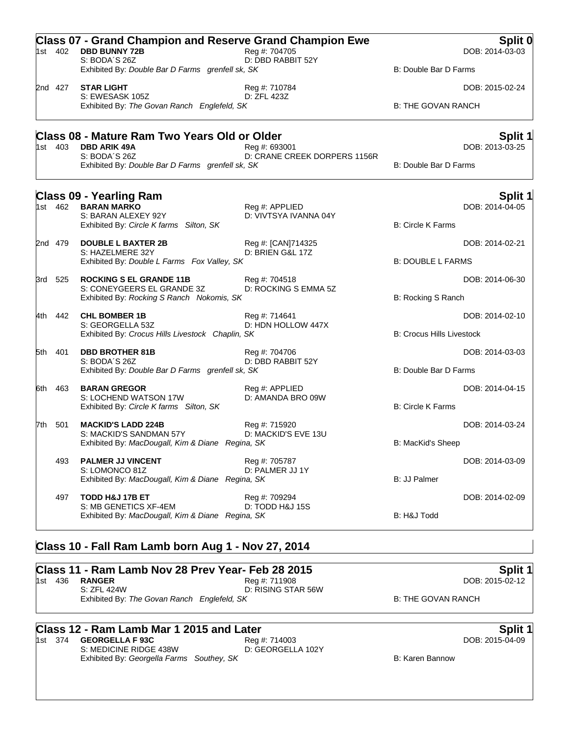|       | 1st 402 | <b>Class 07 - Grand Champion and Reserve Grand Champion Ewe</b><br><b>DBD BUNNY 72B</b><br>S: BODA'S 26Z | Reg #: 704705<br>D: DBD RABBIT 52Y            |                                  | Split 0<br>DOB: 2014-03-03 |
|-------|---------|----------------------------------------------------------------------------------------------------------|-----------------------------------------------|----------------------------------|----------------------------|
|       |         | Exhibited By: Double Bar D Farms grenfell sk, SK                                                         |                                               | B: Double Bar D Farms            |                            |
|       | 2nd 427 | <b>STAR LIGHT</b>                                                                                        | Reg #: 710784                                 |                                  | DOB: 2015-02-24            |
|       |         | S: EWESASK 105Z<br>Exhibited By: The Govan Ranch Englefeld, SK                                           | D: ZFL 423Z                                   | <b>B: THE GOVAN RANCH</b>        |                            |
|       |         | <b>Class 08 - Mature Ram Two Years Old or Older</b>                                                      |                                               |                                  | <b>Split 1</b>             |
|       | 1st 403 | <b>DBD ARIK 49A</b><br>S: BODA'S 26Z                                                                     | Reg #: 693001<br>D: CRANE CREEK DORPERS 1156R |                                  | DOB: 2013-03-25            |
|       |         | Exhibited By: Double Bar D Farms grenfell sk, SK                                                         |                                               | B: Double Bar D Farms            |                            |
|       |         | <b>Class 09 - Yearling Ram</b>                                                                           |                                               |                                  | Split 1                    |
|       | 1st 462 | <b>BARAN MARKO</b><br>S: BARAN ALEXEY 92Y                                                                | Reg #: APPLIED<br>D: VIVTSYA IVANNA 04Y       |                                  | DOB: 2014-04-05            |
|       |         | Exhibited By: Circle K farms Silton, SK                                                                  |                                               | <b>B: Circle K Farms</b>         |                            |
|       | 2nd 479 | <b>DOUBLE L BAXTER 2B</b>                                                                                | Reg #: [CAN]714325                            |                                  | DOB: 2014-02-21            |
|       |         | S: HAZELMERE 32Y<br>Exhibited By: Double L Farms Fox Valley, SK                                          | D: BRIEN G&L 17Z                              | <b>B: DOUBLE L FARMS</b>         |                            |
|       | 3rd 525 | <b>ROCKING S EL GRANDE 11B</b>                                                                           | Reg #: 704518                                 |                                  | DOB: 2014-06-30            |
|       |         | S: CONEYGEERS EL GRANDE 3Z<br>Exhibited By: Rocking S Ranch Nokomis, SK                                  | D: ROCKING S EMMA 5Z                          | B: Rocking S Ranch               |                            |
|       | 4th 442 | <b>CHL BOMBER 1B</b>                                                                                     | Reg #: 714641                                 |                                  | DOB: 2014-02-10            |
|       |         | S: GEORGELLA 53Z<br>Exhibited By: Crocus Hills Livestock Chaplin, SK                                     | D: HDN HOLLOW 447X                            | <b>B: Crocus Hills Livestock</b> |                            |
| 5th   | -401    | <b>DBD BROTHER 81B</b>                                                                                   | Reg #: 704706                                 |                                  | DOB: 2014-03-03            |
|       |         | S: BODA'S 26Z<br>Exhibited By: Double Bar D Farms grenfell sk, SK                                        | D: DBD RABBIT 52Y                             | B: Double Bar D Farms            |                            |
| 6th l | 463     | <b>BARAN GREGOR</b>                                                                                      | Reg #: APPLIED                                |                                  | DOB: 2014-04-15            |
|       |         | S: LOCHEND WATSON 17W<br>Exhibited By: Circle K farms Silton, SK                                         | D: AMANDA BRO 09W                             | <b>B: Circle K Farms</b>         |                            |
| 7th.  | 501     | <b>MACKID'S LADD 224B</b>                                                                                | Reg #: 715920                                 |                                  | DOB: 2014-03-24            |
|       |         | S: MACKID'S SANDMAN 57Y<br>Exhibited By: MacDougall, Kim & Diane Regina, SK                              | D: MACKID'S EVE 13U                           | B: MacKid's Sheep                |                            |
|       |         |                                                                                                          |                                               |                                  |                            |
|       | 493     | <b>PALMER JJ VINCENT</b><br>S: LOMONCO 81Z                                                               | Reg #: 705787<br>D: PALMER JJ 1Y              |                                  | DOB: 2014-03-09            |
|       |         | Exhibited By: MacDougall, Kim & Diane Regina, SK                                                         |                                               | B: JJ Palmer                     |                            |
|       | 497     | TODD H&J 17B ET                                                                                          | Reg #: 709294                                 |                                  | DOB: 2014-02-09            |
|       |         | S: MB GENETICS XF-4EM<br>Exhibited By: MacDougall, Kim & Diane Regina, SK                                | D: TODD H&J 15S                               | B: H&J Todd                      |                            |
|       |         |                                                                                                          |                                               |                                  |                            |

# **Class 10 - Fall Ram Lamb born Aug 1 - Nov 27, 2014**

|         | Class 11 - Ram Lamb Nov 28 Prev Year- Feb 28 2015 | Split 1            |                    |
|---------|---------------------------------------------------|--------------------|--------------------|
| 1st 436 | <b>RANGER</b>                                     | Rea #: 711908      | DOB: 2015-02-12    |
|         | S: 7FI 424W                                       | D: RISING STAR 56W |                    |
|         | Exhibited By: The Govan Ranch Englefeld, SK       |                    | B: THE GOVAN RANCH |

**Class 12 - Ram Lamb Mar 1 2015 and Later**<br>
1st 374 GEORGELLA F 93C<br>
S: MEDICINE RIDGE 438W<br>
B: GEORGELLA 102Y<br>
D: GEORGELLA 102Y 1st 374 **GEORGELLA F 93C** S: MEDICINE RIDGE 438W Exhibited By: Georgella Farms Southey, SK **Billion** B: Karen Bannow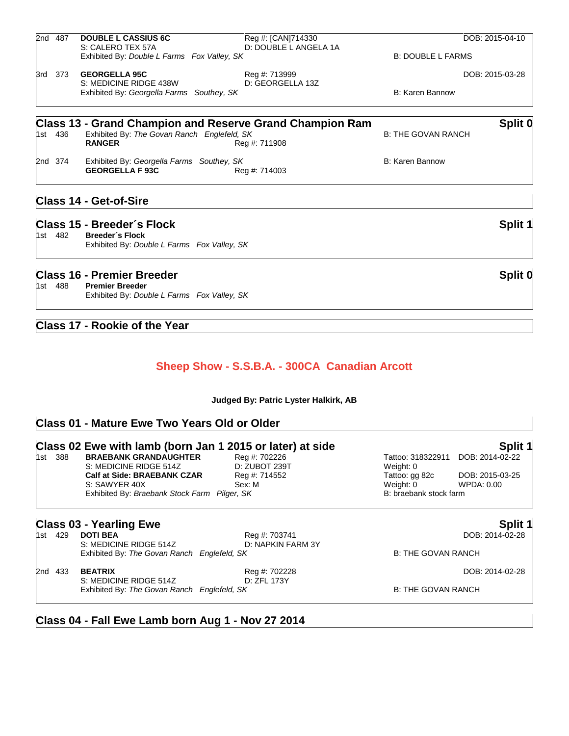|     |         | <b>Class 16 - Premier Breeder</b>                                   |                                                                 |                           | Split 0         |
|-----|---------|---------------------------------------------------------------------|-----------------------------------------------------------------|---------------------------|-----------------|
|     |         | Exhibited By: Double L Farms Fox Valley, SK                         |                                                                 |                           |                 |
|     | 1st 482 | <b>Breeder's Flock</b>                                              |                                                                 |                           |                 |
|     |         | Class 15 - Breeder's Flock                                          |                                                                 |                           | Split 1         |
|     |         | <b>Class 14 - Get-of-Sire</b>                                       |                                                                 |                           |                 |
|     |         | <b>GEORGELLA F 93C</b>                                              | Reg #: 714003                                                   |                           |                 |
|     | 2nd 374 | Exhibited By: Georgella Farms Southey, SK                           |                                                                 | <b>B: Karen Bannow</b>    |                 |
|     |         | <b>RANGER</b>                                                       | Reg #: 711908                                                   |                           |                 |
|     | 1st 436 | Exhibited By: The Govan Ranch Englefeld, SK                         | <b>Class 13 - Grand Champion and Reserve Grand Champion Ram</b> | <b>B: THE GOVAN RANCH</b> | Split 0         |
|     |         |                                                                     |                                                                 |                           |                 |
|     |         | S: MEDICINE RIDGE 438W<br>Exhibited By: Georgella Farms Southey, SK | D: GEORGELLA 13Z                                                | B: Karen Bannow           |                 |
| 3rd | 373     | <b>GEORGELLA 95C</b>                                                | Reg #: 713999                                                   |                           | DOB: 2015-03-28 |
|     |         | Exhibited By: Double L Farms Fox Valley, SK                         |                                                                 | <b>B: DOUBLE L FARMS</b>  |                 |
|     | 2nd 487 | <b>DOUBLE L CASSIUS 6C</b><br>S: CALERO TEX 57A                     | Reg #: [CAN]714330<br>D: DOUBLE L ANGELA 1A                     |                           | DOB: 2015-04-10 |

1st 488 **Premier Breeder** Exhibited By: *Double L Farms Fox Valley, SK*

#### **Class 17 - Rookie of the Year**

#### **Sheep Show - S.S.B.A. - 300CA Canadian Arcott**

**Judged By: Patric Lyster Halkirk, AB**

#### **Class 01 - Mature Ewe Two Years Old or Older**

|  |         | Class 02 Ewe with lamb (born Jan 1 2015 or later) at side |                                    |                           | Split 1         |
|--|---------|-----------------------------------------------------------|------------------------------------|---------------------------|-----------------|
|  | 1st 388 | <b>BRAEBANK GRANDAUGHTER</b>                              | Reg #: 702226                      | Tattoo: 318322911         | DOB: 2014-02-22 |
|  |         | S: MEDICINE RIDGE 514Z                                    | D: ZUBOT 239T                      | Weight: 0                 |                 |
|  |         | <b>Calf at Side: BRAEBANK CZAR</b>                        | Reg #: 714552                      | Tattoo: gg 82c            | DOB: 2015-03-25 |
|  |         | S: SAWYER 40X                                             | Sex: M                             | Weight: 0                 | WPDA: 0.00      |
|  |         | Exhibited By: Braebank Stock Farm Pilger, SK              |                                    | B: braebank stock farm    |                 |
|  |         | <b>Class 03 - Yearling Ewe</b>                            |                                    |                           | Split 1         |
|  | 1st 429 | <b>DOTI BEA</b><br>S: MEDICINE RIDGE 514Z                 | Reg #: 703741<br>D: NAPKIN FARM 3Y |                           | DOB: 2014-02-28 |
|  |         | Exhibited By: The Govan Ranch Englefeld, SK               |                                    | <b>B: THE GOVAN RANCH</b> |                 |
|  | 2nd 433 | <b>BEATRIX</b>                                            | Reg #: 702228                      |                           | DOB: 2014-02-28 |
|  |         | S: MEDICINE RIDGE 514Z                                    | D: ZFL 173Y                        |                           |                 |

**Class 04 - Fall Ewe Lamb born Aug 1 - Nov 27 2014**

Exhibited By: The Govan Ranch Englefeld, SK B: THE GOVAN RANCH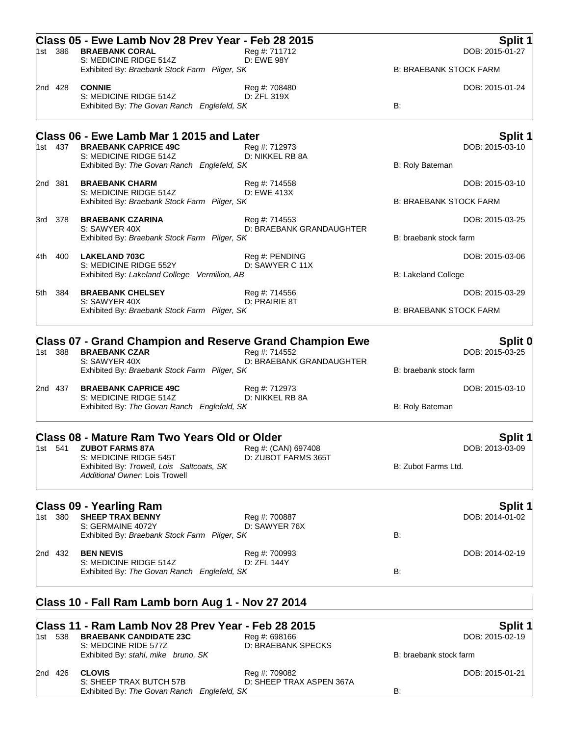|        | 1st 386 | Class 05 - Ewe Lamb Nov 28 Prev Year - Feb 28 2015<br><b>BRAEBANK CORAL</b><br>S: MEDICINE RIDGE 514Z                                                                                          | Reg #: 711712<br><b>D: EWE 98Y</b>         |                                           | Split 1<br>DOB: 2015-01-27 |
|--------|---------|------------------------------------------------------------------------------------------------------------------------------------------------------------------------------------------------|--------------------------------------------|-------------------------------------------|----------------------------|
|        |         | Exhibited By: Braebank Stock Farm Pilger, SK                                                                                                                                                   |                                            | <b>B: BRAEBANK STOCK FARM</b>             |                            |
|        | 2nd 428 | <b>CONNIE</b><br>S: MEDICINE RIDGE 514Z<br>Exhibited By: The Govan Ranch Englefeld, SK                                                                                                         | Reg #: 708480<br>D: ZFL 319X               | B:                                        | DOB: 2015-01-24            |
|        |         | Class 06 - Ewe Lamb Mar 1 2015 and Later                                                                                                                                                       |                                            |                                           | <b>Split 1</b>             |
|        | 1st 437 | <b>BRAEBANK CAPRICE 49C</b><br>S: MEDICINE RIDGE 514Z<br>Exhibited By: The Govan Ranch Englefeld, SK                                                                                           | Reg #: 712973<br>D: NIKKEL RB 8A           | B: Roly Bateman                           | DOB: 2015-03-10            |
|        | 2nd 381 | <b>BRAEBANK CHARM</b><br>S: MEDICINE RIDGE 514Z                                                                                                                                                | Reg #: 714558<br>D: EWE 413X               |                                           | DOB: 2015-03-10            |
|        |         | Exhibited By: Braebank Stock Farm Pilger, SK                                                                                                                                                   |                                            | <b>B: BRAEBANK STOCK FARM</b>             |                            |
|        | 3rd 378 | <b>BRAEBANK CZARINA</b><br>S: SAWYER 40X                                                                                                                                                       | Reg #: 714553<br>D: BRAEBANK GRANDAUGHTER  |                                           | DOB: 2015-03-25            |
|        |         | Exhibited By: Braebank Stock Farm Pilger, SK                                                                                                                                                   |                                            | B: braebank stock farm                    |                            |
| l4th i | 400     | <b>LAKELAND 703C</b><br>S: MEDICINE RIDGE 552Y                                                                                                                                                 | Reg #: PENDING<br>D: SAWYER C 11X          |                                           | DOB: 2015-03-06            |
|        |         | Exhibited By: Lakeland College Vermilion, AB                                                                                                                                                   |                                            | <b>B: Lakeland College</b>                |                            |
|        | 5th 384 | <b>BRAEBANK CHELSEY</b><br>S: SAWYER 40X<br>Exhibited By: Braebank Stock Farm Pilger, SK                                                                                                       | Reg #: 714556<br>D: PRAIRIE 8T             | <b>B: BRAEBANK STOCK FARM</b>             | DOB: 2015-03-29            |
|        | 2nd 437 | Exhibited By: Braebank Stock Farm Pilger, SK<br><b>BRAEBANK CAPRICE 49C</b><br>S: MEDICINE RIDGE 514Z<br>Exhibited By: The Govan Ranch Englefeld, SK                                           | Reg #: 712973<br>D: NIKKEL RB 8A           | B: braebank stock farm<br>B: Roly Bateman | DOB: 2015-03-10            |
|        |         | <b>Class 08 - Mature Ram Two Years Old or Older</b><br>1st 541 <b>ZUBOT FARMS 87A</b><br>S: MEDICINE RIDGE 545T<br>Exhibited By: Trowell, Lois Saltcoats, SK<br>Additional Owner: Lois Trowell | Reg #: (CAN) 697408<br>D: ZUBOT FARMS 365T | B: Zubot Farms Ltd.                       | Split 1<br>DOB: 2013-03-09 |
|        |         | <b>Class 09 - Yearling Ram</b>                                                                                                                                                                 |                                            |                                           | <b>Split 1</b>             |
|        | 1st 380 | <b>SHEEP TRAX BENNY</b><br>S: GERMAINE 4072Y<br>Exhibited By: Braebank Stock Farm Pilger, SK                                                                                                   | Reg #: 700887<br>D: SAWYER 76X             | B:                                        | DOB: 2014-01-02            |
|        | 2nd 432 | <b>BEN NEVIS</b><br>S: MEDICINE RIDGE 514Z                                                                                                                                                     | Reg #: 700993<br>D: ZFL 144Y               |                                           | DOB: 2014-02-19            |
|        |         | Exhibited By: The Govan Ranch Englefeld, SK                                                                                                                                                    |                                            | B:                                        |                            |
|        |         | Class 10 - Fall Ram Lamb born Aug 1 - Nov 27 2014                                                                                                                                              |                                            |                                           |                            |
|        | 1st 538 | Class 11 - Ram Lamb Nov 28 Prev Year - Feb 28 2015<br><b>BRAEBANK CANDIDATE 23C</b><br>S: MEDCINE RIDE 577Z                                                                                    | Reg #: 698166<br>D: BRAEBANK SPECKS        |                                           | Split 1<br>DOB: 2015-02-19 |
|        |         | Exhibited By: stahl, mike bruno, SK                                                                                                                                                            |                                            | B: braebank stock farm                    |                            |

| 2nd 426 | CLOVIS                                      | Reg #: 709082            |    | DOB: 2015-01-21 |
|---------|---------------------------------------------|--------------------------|----|-----------------|
|         | S: SHEEP TRAX BUTCH 57B                     | D: SHEEP TRAX ASPEN 367A |    |                 |
|         | Exhibited By: The Govan Ranch Englefeld, SK |                          | B: |                 |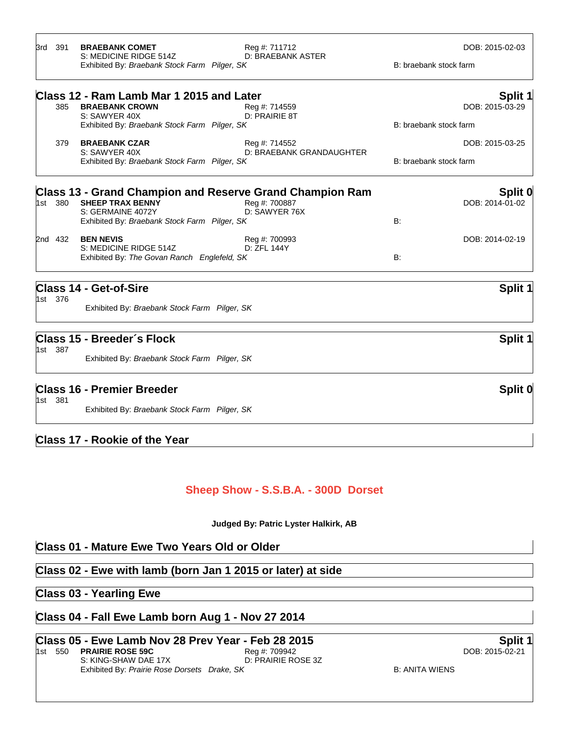| 3rd     | 391     | <b>BRAEBANK COMET</b><br>S: MEDICINE RIDGE 514Z<br>Exhibited By: Braebank Stock Farm Pilger, SK | Reg #: 711712<br>D: BRAEBANK ASTER        | DOB: 2015-02-03<br>B: braebank stock farm |
|---------|---------|-------------------------------------------------------------------------------------------------|-------------------------------------------|-------------------------------------------|
|         | 385     | Class 12 - Ram Lamb Mar 1 2015 and Later<br><b>BRAEBANK CROWN</b>                               | Reg #: 714559                             | Split 1<br>DOB: 2015-03-29                |
|         |         | S: SAWYER 40X<br>Exhibited By: Braebank Stock Farm Pilger, SK                                   | D: PRAIRIE 8T                             | B: braebank stock farm                    |
|         | 379     | <b>BRAEBANK CZAR</b><br>S: SAWYER 40X<br>Exhibited By: Braebank Stock Farm Pilger, SK           | Reg #: 714552<br>D: BRAEBANK GRANDAUGHTER | DOB: 2015-03-25<br>B: braebank stock farm |
|         |         | <b>Class 13 - Grand Champion and Reserve Grand Champion Ram</b>                                 |                                           | Split 0                                   |
| 1st     | 380     | <b>SHEEP TRAX BENNY</b><br>S: GERMAINE 4072Y<br>Exhibited By: Braebank Stock Farm Pilger, SK    | Reg #: 700887<br>D: SAWYER 76X            | DOB: 2014-01-02<br>B:                     |
|         | 2nd 432 | <b>BEN NEVIS</b><br>S: MEDICINE RIDGE 514Z<br>Exhibited By: The Govan Ranch Englefeld, SK       | Reg #: 700993<br>D: ZFL 144Y              | DOB: 2014-02-19<br>B:                     |
|         | 1st 376 | Class 14 - Get-of-Sire                                                                          |                                           | Split 1                                   |
|         |         | Exhibited By: Braebank Stock Farm Pilger, SK                                                    |                                           |                                           |
|         | 1st 387 | Class 15 - Breeder's Flock                                                                      |                                           | Split 1                                   |
|         |         | Exhibited By: Braebank Stock Farm Pilger, SK                                                    |                                           |                                           |
| 1st 381 |         | <b>Class 16 - Premier Breeder</b>                                                               |                                           | Split 0                                   |
|         |         | Exhibited By: Braebank Stock Farm Pilger, SK                                                    |                                           |                                           |
|         |         | Class 17 - Rookie of the Year                                                                   |                                           |                                           |

#### **Sheep Show - S.S.B.A. - 300D Dorset**

**Judged By: Patric Lyster Halkirk, AB**

#### **Class 01 - Mature Ewe Two Years Old or Older**

#### **Class 02 - Ewe with lamb (born Jan 1 2015 or later) at side**

#### **Class 03 - Yearling Ewe**

#### **Class 04 - Fall Ewe Lamb born Aug 1 - Nov 27 2014**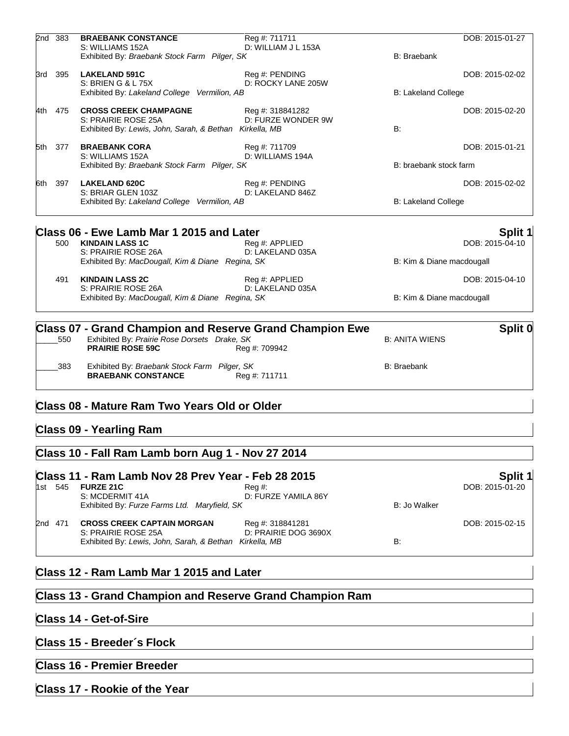| 2nd 383 | <b>BRAEBANK CONSTANCE</b>                                                                                                                  | Reg #: 711711                          |                            | DOB: 2015-01-27 |
|---------|--------------------------------------------------------------------------------------------------------------------------------------------|----------------------------------------|----------------------------|-----------------|
|         | S: WILLIAMS 152A<br>Exhibited By: Braebank Stock Farm Pilger, SK                                                                           | D: WILLIAM J L 153A                    | <b>B:</b> Braebank         |                 |
| 3rd 395 | <b>LAKELAND 591C</b><br>S: BRIEN G & L 75X                                                                                                 | Reg #: PENDING<br>D: ROCKY LANE 205W   |                            | DOB: 2015-02-02 |
|         | Exhibited By: Lakeland College Vermilion, AB                                                                                               |                                        | <b>B: Lakeland College</b> |                 |
| 4th 475 | <b>CROSS CREEK CHAMPAGNE</b><br>S: PRAIRIE ROSE 25A<br>Exhibited By: Lewis, John, Sarah, & Bethan Kirkella, MB                             | Reg #: 318841282<br>D: FURZE WONDER 9W | B:                         | DOB: 2015-02-20 |
| 5th 377 | <b>BRAEBANK CORA</b><br>S: WILLIAMS 152A                                                                                                   | Reg #: 711709<br>D: WILLIAMS 194A      |                            | DOB: 2015-01-21 |
|         | Exhibited By: Braebank Stock Farm Pilger, SK                                                                                               |                                        | B: braebank stock farm     |                 |
| 6th 397 | <b>LAKELAND 620C</b><br>S: BRIAR GLEN 103Z                                                                                                 | Reg #: PENDING<br>D: LAKELAND 846Z     |                            | DOB: 2015-02-02 |
|         | Exhibited By: Lakeland College Vermilion, AB                                                                                               |                                        | <b>B: Lakeland College</b> |                 |
|         | Class 06 - Ewe Lamb Mar 1 2015 and Later                                                                                                   |                                        |                            | Split 1         |
| 500     | <b>KINDAIN LASS 1C</b><br>S: PRAIRIE ROSE 26A                                                                                              | Reg #: APPLIED<br>D: LAKELAND 035A     |                            | DOB: 2015-04-10 |
|         | Exhibited By: MacDougall, Kim & Diane Regina, SK                                                                                           |                                        | B: Kim & Diane macdougall  |                 |
| 491     | <b>KINDAIN LASS 2C</b><br>S: PRAIRIE ROSE 26A                                                                                              | Reg #: APPLIED<br>D: LAKELAND 035A     |                            | DOB: 2015-04-10 |
|         | Exhibited By: MacDougall, Kim & Diane Regina, SK                                                                                           |                                        | B: Kim & Diane macdougall  |                 |
|         |                                                                                                                                            |                                        |                            |                 |
| 550     | <b>Class 07 - Grand Champion and Reserve Grand Champion Ewe</b><br>Exhibited By: Prairie Rose Dorsets Drake, SK<br><b>PRAIRIE ROSE 59C</b> | Reg #: 709942                          | <b>B: ANITA WIENS</b>      | Split 0         |
| 383     | Exhibited By: Braebank Stock Farm Pilger, SK<br><b>BRAEBANK CONSTANCE</b>                                                                  | Reg #: 711711                          | <b>B: Braebank</b>         |                 |

#### **Class 08 - Mature Ram Two Years Old or Older**

### **Class 09 - Yearling Ram**

#### **Class 10 - Fall Ram Lamb born Aug 1 - Nov 27 2014**

|     | Class 11 - Ram Lamb Nov 28 Prev Year - Feb 28 2015 |                                                          |                                          |              |                 |  |
|-----|----------------------------------------------------|----------------------------------------------------------|------------------------------------------|--------------|-----------------|--|
| 1st | 545                                                | <b>FURZE 21C</b><br>S: MCDERMIT 41A                      | $Rea \#$ :<br>D: FURZE YAMILA 86Y        |              | DOB: 2015-01-20 |  |
|     |                                                    | Exhibited By: Furze Farms Ltd. Maryfield, SK             |                                          | B: Jo Walker |                 |  |
|     | 2nd 471                                            | <b>CROSS CREEK CAPTAIN MORGAN</b><br>S: PRAIRIE ROSE 25A | Reg #: 318841281<br>D: PRAIRIE DOG 3690X |              | DOB: 2015-02-15 |  |
|     |                                                    | Exhibited By: Lewis, John, Sarah, & Bethan Kirkella, MB  |                                          | <b>B:</b>    |                 |  |

#### **Class 12 - Ram Lamb Mar 1 2015 and Later**

#### **Class 13 - Grand Champion and Reserve Grand Champion Ram**

#### **Class 14 - Get-of-Sire**

#### **Class 15 - Breeder´s Flock**

# **Class 16 - Premier Breeder**

#### **Class 17 - Rookie of the Year**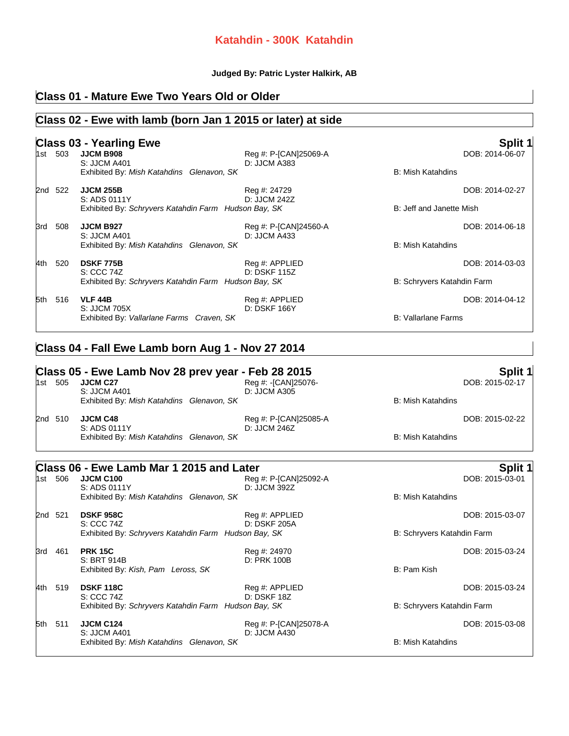#### **Katahdin - 300K Katahdin**

#### **Judged By: Patric Lyster Halkirk, AB**

# **Class 01 - Mature Ewe Two Years Old or Older**

## **Class 02 - Ewe with lamb (born Jan 1 2015 or later) at side**

|      |         | <b>Class 03 - Yearling Ewe</b>                                       |                                       |                            | Split 1         |
|------|---------|----------------------------------------------------------------------|---------------------------------------|----------------------------|-----------------|
|      | 1st 503 | <b>JJCM B908</b><br><b>S: JJCM A401</b>                              | Reg #: P-[CAN]25069-A<br>D: JJCM A383 |                            | DOB: 2014-06-07 |
|      |         | Exhibited By: Mish Katahdins Glenavon, SK                            |                                       | <b>B: Mish Katahdins</b>   |                 |
|      | 2nd 522 | <b>JJCM 255B</b>                                                     | Reg #: 24729                          |                            | DOB: 2014-02-27 |
|      |         | S: ADS 0111Y<br>Exhibited By: Schryvers Katahdin Farm Hudson Bay, SK | D: JJCM 242Z                          | B: Jeff and Janette Mish   |                 |
|      | 3rd 508 | <b>JJCM B927</b>                                                     | Reg #: P-[CAN]24560-A                 |                            | DOB: 2014-06-18 |
|      |         | S: JJCM A401<br>Exhibited By: Mish Katahdins Glenavon, SK            | D: JJCM A433                          | <b>B: Mish Katahdins</b>   |                 |
|      | 4th 520 | <b>DSKF 775B</b>                                                     | Reg #: APPLIED                        |                            | DOB: 2014-03-03 |
|      |         | S: CCC 74Z<br>Exhibited By: Schryvers Katahdin Farm Hudson Bay, SK   | D: DSKF 115Z                          | B: Schryvers Katahdin Farm |                 |
|      | 5th 516 | <b>VLF 44B</b>                                                       | Reg #: APPLIED                        |                            | DOB: 2014-04-12 |
|      |         | S: JJCM 705X<br>Exhibited By: Vallarlane Farms Craven, SK            | D: DSKF 166Y                          | <b>B: Vallarlane Farms</b> |                 |
|      |         |                                                                      |                                       |                            |                 |
|      |         | Class 04 - Fall Ewe Lamb born Aug 1 - Nov 27 2014                    |                                       |                            |                 |
|      |         | Class 05 - Ewe Lamb Nov 28 prev year - Feb 28 2015                   |                                       |                            | Split 1         |
|      | 1st 505 | JJCM C27                                                             | Reg #: -[CAN]25076-                   |                            | DOB: 2015-02-17 |
|      |         | S: JJCM A401<br>Exhibited By: Mish Katahdins Glenavon, SK            | D: JJCM A305                          | <b>B: Mish Katahdins</b>   |                 |
|      | 2nd 510 | <b>JJCM C48</b>                                                      | Reg #: P-[CAN]25085-A                 |                            | DOB: 2015-02-22 |
|      |         | S: ADS 0111Y<br>Exhibited By: Mish Katahdins Glenavon, SK            | D: JJCM 246Z                          | <b>B: Mish Katahdins</b>   |                 |
|      |         |                                                                      |                                       |                            |                 |
|      |         | Class 06 - Ewe Lamb Mar 1 2015 and Later                             |                                       |                            | Split 1         |
|      | 1st 506 | <b>JJCM C100</b><br>S: ADS 0111Y                                     | Reg #: P-[CAN]25092-A<br>D: JJCM 392Z |                            | DOB: 2015-03-01 |
|      |         | Exhibited By: Mish Katahdins Glenavon, SK                            |                                       | <b>B: Mish Katahdins</b>   |                 |
|      | 2nd 521 | <b>DSKF 958C</b>                                                     | Reg #: APPLIED                        |                            | DOB: 2015-03-07 |
|      |         | S: CCC 74Z<br>Exhibited By: Schryvers Katahdin Farm Hudson Bay, SK   | D: DSKF 205A                          | B: Schryvers Katahdin Farm |                 |
|      | 3rd 461 | <b>PRK 15C</b>                                                       | Reg #: 24970                          |                            | DOB: 2015-03-24 |
|      |         | S: BRT 914B<br>Exhibited By: Kish, Pam Leross, SK                    | D: PRK 100B                           | B: Pam Kish                |                 |
| 4th. | 519     | <b>DSKF 118C</b>                                                     | Reg #: APPLIED                        |                            | DOB: 2015-03-24 |
|      |         | S: CCC 74Z<br>Exhibited By: Schryvers Katahdin Farm Hudson Bay, SK   | <b>D: DSKF 18Z</b>                    | B: Schryvers Katahdin Farm |                 |
|      |         |                                                                      |                                       |                            |                 |
| 5th  | -511    | <b>JJCM C124</b><br>S: JJCM A401                                     | Reg #: P-[CAN]25078-A<br>D: JJCM A430 |                            | DOB: 2015-03-08 |
|      |         | Exhibited By: Mish Katahdins Glenavon, SK                            |                                       | B: Mish Katahdins          |                 |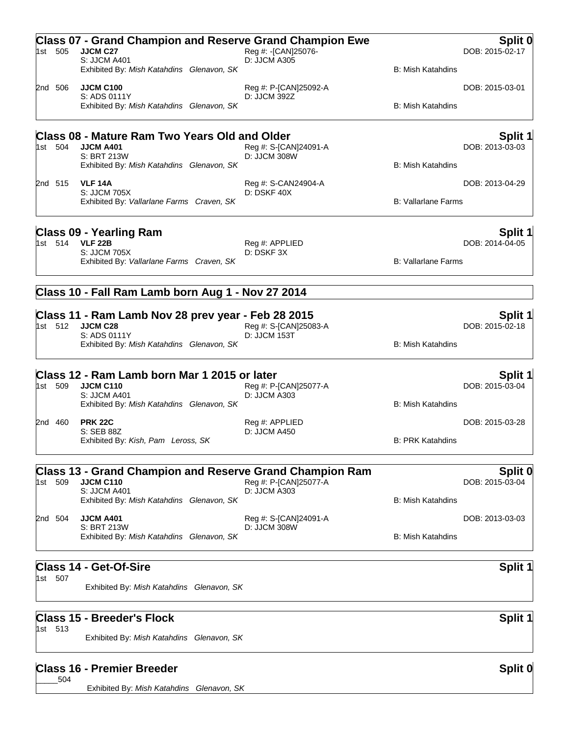| 1st 505 | <b>Class 07 - Grand Champion and Reserve Grand Champion Ewe</b><br>JJCM C27         | Reg #: -[CAN]25076-                   |                            | Split 0<br>DOB: 2015-02-17 |
|---------|-------------------------------------------------------------------------------------|---------------------------------------|----------------------------|----------------------------|
|         | S: JJCM A401<br>Exhibited By: Mish Katahdins Glenavon, SK                           | D: JJCM A305                          | <b>B: Mish Katahdins</b>   |                            |
| 2nd 506 | <b>JJCM C100</b><br>S: ADS 0111Y                                                    | Reg #: P-[CAN]25092-A<br>D: JJCM 392Z |                            | DOB: 2015-03-01            |
|         | Exhibited By: Mish Katahdins Glenavon, SK                                           |                                       | <b>B: Mish Katahdins</b>   |                            |
|         | Class 08 - Mature Ram Two Years Old and Older                                       |                                       |                            | Split 1                    |
| 1st 504 | <b>JJCM A401</b><br>S: BRT 213W<br>Exhibited By: Mish Katahdins Glenavon, SK        | Reg #: S-[CAN]24091-A<br>D: JJCM 308W | B: Mish Katahdins          | DOB: 2013-03-03            |
| 2nd 515 | <b>VLF 14A</b><br>S: JJCM 705X                                                      | Reg #: S-CAN24904-A<br>D: DSKF 40X    |                            | DOB: 2013-04-29            |
|         | Exhibited By: Vallarlane Farms Craven, SK                                           |                                       | <b>B: Vallarlane Farms</b> |                            |
|         | <b>Class 09 - Yearling Ram</b>                                                      |                                       |                            | Split 1                    |
| 1st 514 | <b>VLF 22B</b><br>S: JJCM 705X                                                      | Reg #: APPLIED<br>D: DSKF 3X          |                            | DOB: 2014-04-05            |
|         | Exhibited By: Vallarlane Farms Craven, SK                                           |                                       | <b>B: Vallarlane Farms</b> |                            |
|         | Class 10 - Fall Ram Lamb born Aug 1 - Nov 27 2014                                   |                                       |                            |                            |
| 1st 512 | Class 11 - Ram Lamb Nov 28 prev year - Feb 28 2015<br>JJCM C28                      | Reg #: S-[CAN]25083-A                 |                            | Split 1<br>DOB: 2015-02-18 |
|         | S: ADS 0111Y                                                                        | D: JJCM 153T                          |                            |                            |
|         | Exhibited By: Mish Katahdins Glenavon, SK                                           |                                       | <b>B: Mish Katahdins</b>   |                            |
| 1st 509 | Class 12 - Ram Lamb born Mar 1 2015 or later<br><b>JJCM C110</b>                    | Reg #: P-[CAN]25077-A                 |                            | Split 1<br>DOB: 2015-03-04 |
|         | S: JJCM A401                                                                        | D: JJCM A303                          |                            |                            |
|         | Exhibited By: Mish Katahdins Glenavon, SK<br><b>PRK 22C</b>                         |                                       | <b>B: Mish Katahdins</b>   |                            |
| 2nd 460 | S: SEB 88Z                                                                          | Reg #: APPLIED<br>D: JJCM A450        |                            | DOB: 2015-03-28            |
|         | Exhibited By: Kish, Pam Leross, SK                                                  |                                       | <b>B: PRK Katahdins</b>    |                            |
| 1st 509 | <b>Class 13 - Grand Champion and Reserve Grand Champion Ram</b><br><b>JJCM C110</b> | Reg #: P-[CAN]25077-A                 |                            | Split 0<br>DOB: 2015-03-04 |
|         | S: JJCM A401                                                                        | D: JJCM A303                          |                            |                            |
|         | Exhibited By: Mish Katahdins Glenavon, SK                                           |                                       | B: Mish Katahdins          |                            |
| 2nd 504 | <b>JJCM A401</b><br>S: BRT 213W                                                     | Reg #: S-[CAN]24091-A<br>D: JJCM 308W |                            | DOB: 2013-03-03            |
|         | Exhibited By: Mish Katahdins Glenavon, SK                                           |                                       | <b>B: Mish Katahdins</b>   |                            |
|         | <b>Class 14 - Get-Of-Sire</b>                                                       |                                       |                            | Split 1                    |
| 1st 507 | Exhibited By: Mish Katahdins Glenavon, SK                                           |                                       |                            |                            |
|         | <b>Class 15 - Breeder's Flock</b>                                                   |                                       |                            | <b>Split 1</b>             |
| 1st 513 | Exhibited By: Mish Katahdins Glenavon, SK                                           |                                       |                            |                            |
|         | <b>Class 16 - Premier Breeder</b>                                                   |                                       |                            | Split 0                    |
| 504     | Exhibited By: Mish Katahdins Glenavon, SK                                           |                                       |                            |                            |
|         |                                                                                     |                                       |                            |                            |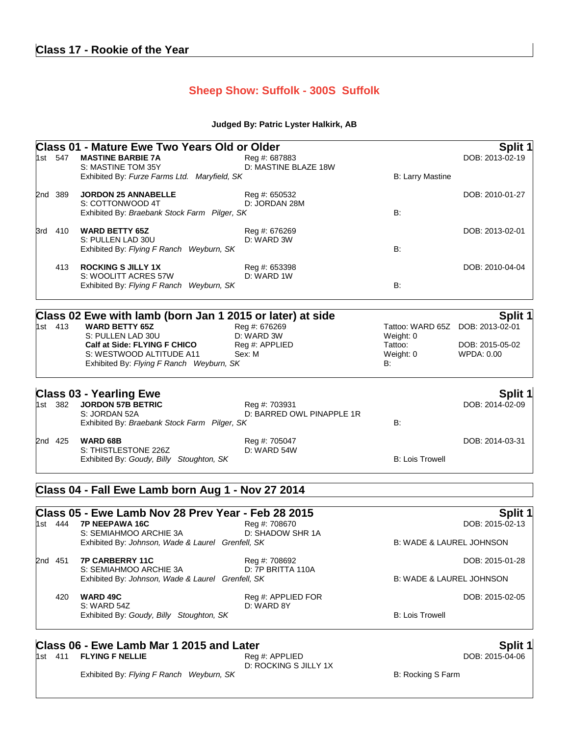# **Class 17 - Rookie of the Year**

# **Sheep Show: Suffolk - 300S Suffolk**

#### **Judged By: Patric Lyster Halkirk, AB**

|         | 1st 547 | <b>Class 01 - Mature Ewe Two Years Old or Older</b><br><b>MASTINE BARBIE 7A</b> |                                       |                                     | Split 1                    |
|---------|---------|---------------------------------------------------------------------------------|---------------------------------------|-------------------------------------|----------------------------|
|         |         | S: MASTINE TOM 35Y<br>Exhibited By: Furze Farms Ltd. Maryfield, SK              | Reg #: 687883<br>D: MASTINE BLAZE 18W | <b>B: Larry Mastine</b>             | DOB: 2013-02-19            |
|         |         | <b>JORDON 25 ANNABELLE</b>                                                      |                                       |                                     | DOB: 2010-01-27            |
| 2nd 389 |         | S: COTTONWOOD 4T                                                                | Reg #: 650532<br>D: JORDAN 28M        |                                     |                            |
|         |         | Exhibited By: Braebank Stock Farm Pilger, SK                                    |                                       | B:                                  |                            |
| 3rd     | 410     | <b>WARD BETTY 65Z</b>                                                           | Reg #: 676269                         |                                     | DOB: 2013-02-01            |
|         |         | S: PULLEN LAD 30U<br>Exhibited By: Flying F Ranch Weyburn, SK                   | D: WARD 3W                            | B:                                  |                            |
|         | 413     | <b>ROCKING S JILLY 1X</b>                                                       | Reg #: 653398                         |                                     | DOB: 2010-04-04            |
|         |         | S: WOOLITT ACRES 57W<br>Exhibited By: Flying F Ranch Weyburn, SK                | D: WARD 1W                            | B:                                  |                            |
|         |         | Class 02 Ewe with lamb (born Jan 1 2015 or later) at side                       |                                       |                                     | <b>Split 1</b>             |
|         | 1st 413 | <b>WARD BETTY 65Z</b>                                                           | Reg #: 676269                         | Tattoo: WARD 65Z DOB: 2013-02-01    |                            |
|         |         | S: PULLEN LAD 30U                                                               | D: WARD 3W                            | Weight: 0                           |                            |
|         |         | Calf at Side: FLYING F CHICO                                                    | Reg #: APPLIED                        | Tattoo:                             | DOB: 2015-05-02            |
|         |         | S: WESTWOOD ALTITUDE A11<br>Exhibited By: Flying F Ranch Weyburn, SK            | Sex: M                                | Weight: 0<br>B:                     | WPDA: 0.00                 |
|         |         | <b>Class 03 - Yearling Ewe</b>                                                  |                                       |                                     | <b>Split 1</b>             |
|         | 1st 382 | <b>JORDON 57B BETRIC</b>                                                        | Reg #: 703931                         |                                     | DOB: 2014-02-09            |
|         |         | S: JORDAN 52A<br>Exhibited By: Braebank Stock Farm Pilger, SK                   | D: BARRED OWL PINAPPLE 1R             | B:                                  |                            |
|         | 2nd 425 | <b>WARD 68B</b>                                                                 | Reg #: 705047                         |                                     | DOB: 2014-03-31            |
|         |         | S: THISTLESTONE 226Z<br>Exhibited By: Goudy, Billy Stoughton, SK                | D: WARD 54W                           | <b>B: Lois Trowell</b>              |                            |
|         |         | Class 04 - Fall Ewe Lamb born Aug 1 - Nov 27 2014                               |                                       |                                     |                            |
|         |         | Class 05 - Ewe Lamb Nov 28 Prev Year - Feb 28 2015                              |                                       |                                     | Split 1                    |
|         | 1st 444 | <b>7P NEEPAWA 16C</b>                                                           | Reg #: 708670                         |                                     | DOB: 2015-02-13            |
|         |         | S: SEMIAHMOO ARCHIE 3A<br>Exhibited By: Johnson, Wade & Laurel Grenfell, SK     | D: SHADOW SHR 1A                      | <b>B: WADE &amp; LAUREL JOHNSON</b> |                            |
|         | 2nd 451 | <b>7P CARBERRY 11C</b>                                                          | Reg #: 708692                         |                                     | DOB: 2015-01-28            |
|         |         | S: SEMIAHMOO ARCHIE 3A<br>Exhibited By: Johnson, Wade & Laurel Grenfell, SK     | D: 7P BRITTA 110A                     | <b>B: WADE &amp; LAUREL JOHNSON</b> |                            |
|         | 420     | <b>WARD 49C</b>                                                                 | Reg #: APPLIED FOR                    |                                     | DOB: 2015-02-05            |
|         |         | S: WARD 54Z<br>Exhibited By: Goudy, Billy Stoughton, SK                         | D: WARD 8Y                            | <b>B: Lois Trowell</b>              |                            |
|         |         |                                                                                 |                                       |                                     |                            |
|         |         | Class 06 - Ewe Lamb Mar 1 2015 and Later<br>1st 411 FLYING F NELLIE             | Reg #: APPLIED                        |                                     | Split 1<br>DOB: 2015-04-06 |

D: ROCKING S JILLY 1X

Exhibited By: Flying F Ranch Weyburn, SK B: Rocking S Farm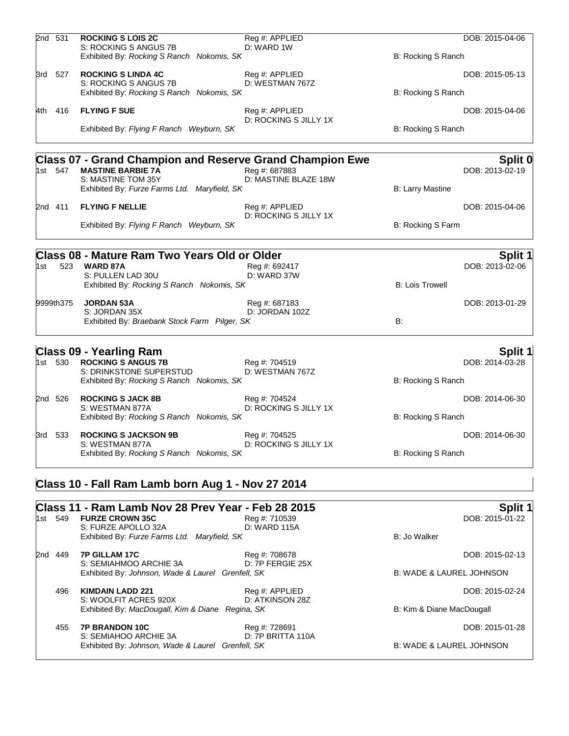|     | 2nd 531   | <b>ROCKING S LOIS 2C</b><br>S: ROCKING S ANGUS 7B<br>Exhibited By: Rocking S Ranch Nokomis, SK                                                                    | Reg #: APPLIED<br>D: WARD 1W            | B: Rocking S Ranch        | DOB: 2015-04-06                   |
|-----|-----------|-------------------------------------------------------------------------------------------------------------------------------------------------------------------|-----------------------------------------|---------------------------|-----------------------------------|
|     | 3rd 527   | <b>ROCKING S LINDA 4C</b><br>S: ROCKING S ANGUS 7B<br>Exhibited By: Rocking S Ranch Nokomis, SK                                                                   | Reg #: APPLIED<br>D: WESTMAN 767Z       | B: Rocking S Ranch        | DOB: 2015-05-13                   |
|     | 4th 416   | <b>FLYING F SUE</b><br>Exhibited By: Flying F Ranch Weyburn, SK                                                                                                   | Reg #: APPLIED<br>D: ROCKING S JILLY 1X | B: Rocking S Ranch        | DOB: 2015-04-06                   |
|     | 1st 547   | <b>Class 07 - Grand Champion and Reserve Grand Champion Ewe</b><br><b>MASTINE BARBIE 7A</b><br>S: MASTINE TOM 35Y<br>Exhibited By: Furze Farms Ltd. Maryfield, SK | Reg #: 687883<br>D: MASTINE BLAZE 18W   | <b>B: Larry Mastine</b>   | Split 0<br>DOB: 2013-02-19        |
|     | 2nd 411   | <b>FLYING F NELLIE</b><br>Exhibited By: Flying F Ranch Weyburn, SK                                                                                                | Reg #: APPLIED<br>D: ROCKING S JILLY 1X | B: Rocking S Farm         | DOB: 2015-04-06                   |
| 1st | 523       | <b>Class 08 - Mature Ram Two Years Old or Older</b><br><b>WARD 87A</b><br>S: PULLEN LAD 30U<br>Exhibited By: Rocking S Ranch Nokomis, SK                          | Reg #: 692417<br>D: WARD 37W            | <b>B: Lois Trowell</b>    | <b>Split 1</b><br>DOB: 2013-02-06 |
|     | 9999th375 | <b>JORDAN 53A</b><br>S: JORDAN 35X<br>Exhibited By: Braebank Stock Farm Pilger, SK                                                                                | Reg #: 687183<br>D: JORDAN 102Z         | B:                        | DOB: 2013-01-29                   |
|     | 1st 530   | <b>Class 09 - Yearling Ram</b><br><b>ROCKING S ANGUS 7B</b><br>S: DRINKSTONE SUPERSTUD<br>Exhibited By: Rocking S Ranch Nokomis, SK                               | Reg #: 704519<br>D: WESTMAN 767Z        | B: Rocking S Ranch        | <b>Split 1</b><br>DOB: 2014-03-28 |
|     | 2nd 526   | <b>ROCKING S JACK 8B</b><br>S: WESTMAN 877A<br>Exhibited By: Rocking S Ranch Nokomis, SK                                                                          | Reg #: 704524<br>D: ROCKING S JILLY 1X  | B: Rocking S Ranch        | DOB: 2014-06-30                   |
|     | 3rd 533   | <b>ROCKING S JACKSON 9B</b><br>S: WESTMAN 877A<br>Exhibited By: Rocking S Ranch Nokomis, SK                                                                       | Reg #: 704525<br>D: ROCKING S JILLY 1X  | B: Rocking S Ranch        | DOB: 2014-06-30                   |
|     |           | Class 10 - Fall Ram Lamb born Aug 1 - Nov 27 2014                                                                                                                 |                                         |                           |                                   |
|     | 1st 549   | Class 11 - Ram Lamb Nov 28 Prev Year - Feb 28 2015<br><b>FURZE CROWN 35C</b><br>S: FURZE APOLLO 32A<br>Exhibited By: Furze Farms Ltd. Maryfield, SK               | Reg #: 710539<br>D: WARD 115A           | B: Jo Walker              | Split 1<br>DOB: 2015-01-22        |
|     | 2nd 449   | 7P GILLAM 17C<br>S: SEMIAHMOO ARCHIE 3A<br>Exhibited By: Johnson, Wade & Laurel Grenfell, SK                                                                      | Reg #: 708678<br>D: 7P FERGIE 25X       | B: WADE & LAUREL JOHNSON  | DOB: 2015-02-13                   |
|     | 496       | <b>KIMDAIN LADD 221</b><br>S: WOOLFIT ACRES 920X<br>Exhibited By: MacDougall, Kim & Diane Regina, SK                                                              | Reg #: APPLIED<br>D: ATKINSON 28Z       | B: Kim & Diane MacDougall | DOB: 2015-02-24                   |
|     | 455       | 7P BRANDON 10C                                                                                                                                                    | Reg #: 728691                           |                           | DOB: 2015-01-28                   |

S: SEMIAHOO ARCHIE 3A D: 7P BRITTA 110A Exhibited By: *Johnson, Wade & Laurel Grenfell, SK* B: WADE & LAUREL JOHNSON